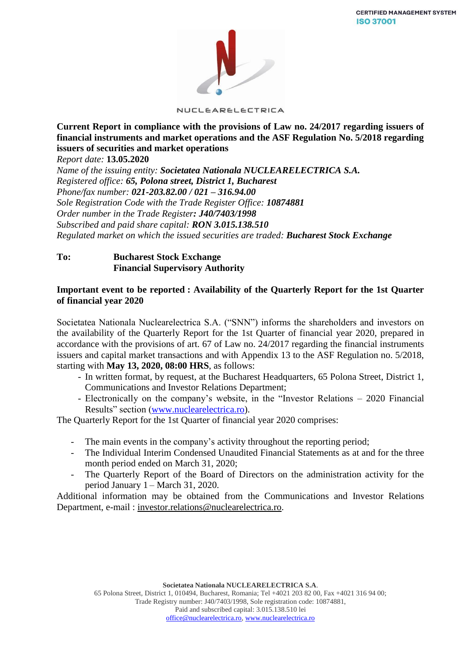

NUCLEARELECTRICA

**Current Report in compliance with the provisions of Law no. 24/2017 regarding issuers of financial instruments and market operations and the ASF Regulation No. 5/2018 regarding issuers of securities and market operations**

*Report date:* **13.05.2020**

*Name of the issuing entity: Societatea Nationala NUCLEARELECTRICA S.A. Registered office: 65, Polona street, District 1, Bucharest Phone/fax number: 021-203.82.00 / 021 – 316.94.00 Sole Registration Code with the Trade Register Office: 10874881 Order number in the Trade Register: J40/7403/1998 Subscribed and paid share capital: RON 3.015.138.510 Regulated market on which the issued securities are traded: Bucharest Stock Exchange*

## **To: Bucharest Stock Exchange Financial Supervisory Authority**

### **Important event to be reported : Availability of the Quarterly Report for the 1st Quarter of financial year 2020**

Societatea Nationala Nuclearelectrica S.A. ("SNN") informs the shareholders and investors on the availability of the Quarterly Report for the 1st Quarter of financial year 2020, prepared in accordance with the provisions of art. 67 of Law no. 24/2017 regarding the financial instruments issuers and capital market transactions and with Appendix 13 to the ASF Regulation no. 5/2018, starting with **May 13, 2020, 08:00 HRS**, as follows:

- In written format, by request, at the Bucharest Headquarters, 65 Polona Street, District 1, Communications and Investor Relations Department;
- Electronically on the company's website, in the "Investor Relations 2020 Financial Results" section [\(www.nuclearelectrica.ro\)](http://www.nuclearelectrica.ro/).

The Quarterly Report for the 1st Quarter of financial year 2020 comprises:

- The main events in the company's activity throughout the reporting period;
- The Individual Interim Condensed Unaudited Financial Statements as at and for the three month period ended on March 31, 2020;
- The Quarterly Report of the Board of Directors on the administration activity for the period January 1 – March 31, 2020.

Additional information may be obtained from the Communications and Investor Relations Department, e-mail : [investor.relations@nuclearelectrica.ro.](mailto:investor.relations@nuclearelectrica.ro)

> **Societatea Nationala NUCLEARELECTRICA S.A**. 65 Polona Street, District 1, 010494, Bucharest, Romania; Tel +4021 203 82 00, Fax +4021 316 94 00; Trade Registry number: J40/7403/1998, Sole registration code: 10874881, Paid and subscribed capital: 3.015.138.510 lei [office@nuclearelectrica.ro,](mailto:office@nuclearelectrica.ro) [www.nuclearelectrica.ro](http://www.nuclearelectrica.ro/)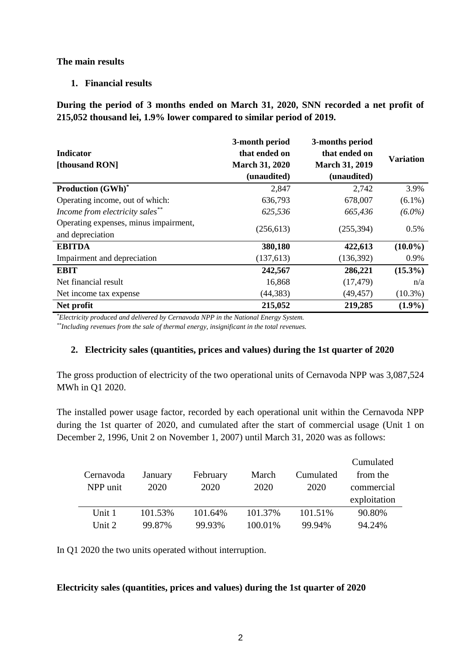## **The main results**

# **1. Financial results**

**During the period of 3 months ended on March 31, 2020, SNN recorded a net profit of 215,052 thousand lei, 1.9% lower compared to similar period of 2019.**

| <b>Indicator</b><br>[thousand RON]                        | 3-month period<br>that ended on<br><b>March 31, 2020</b><br>(unaudited) | 3-months period<br>that ended on<br><b>March 31, 2019</b><br>(unaudited) | <b>Variation</b> |
|-----------------------------------------------------------|-------------------------------------------------------------------------|--------------------------------------------------------------------------|------------------|
| <b>Production (GWh)*</b>                                  | 2,847                                                                   | 2,742                                                                    | 3.9%             |
| Operating income, out of which:                           | 636,793                                                                 | 678,007                                                                  | $(6.1\%)$        |
| Income from electricity sales**                           | 625,536                                                                 | 665,436                                                                  | $(6.0\%)$        |
| Operating expenses, minus impairment,<br>and depreciation | (256, 613)                                                              | (255, 394)                                                               | 0.5%             |
| <b>EBITDA</b>                                             | 380,180                                                                 | 422,613                                                                  | $(10.0\%)$       |
| Impairment and depreciation                               | (137,613)                                                               | (136,392)                                                                | 0.9%             |
| <b>EBIT</b>                                               | 242,567                                                                 | 286,221                                                                  | $(15.3\%)$       |
| Net financial result                                      | 16,868                                                                  | (17, 479)                                                                | n/a              |
| Net income tax expense                                    | (44, 383)                                                               | (49, 457)                                                                | $(10.3\%)$       |
| Net profit                                                | 215,052                                                                 | 219,285                                                                  | $(1.9\%)$        |

*\*Electricity produced and delivered by Cernavoda NPP in the National Energy System.*

*\*\*Including revenues from the sale of thermal energy, insignificant in the total revenues.*

## **2. Electricity sales (quantities, prices and values) during the 1st quarter of 2020**

The gross production of electricity of the two operational units of Cernavoda NPP was 3,087,524 MWh in Q1 2020.

The installed power usage factor, recorded by each operational unit within the Cernavoda NPP during the 1st quarter of 2020, and cumulated after the start of commercial usage (Unit 1 on December 2, 1996, Unit 2 on November 1, 2007) until March 31, 2020 was as follows:

|           |         |          |         |           | Cumulated    |
|-----------|---------|----------|---------|-----------|--------------|
| Cernavoda | January | February | March   | Cumulated | from the     |
| NPP unit  | 2020    | 2020     | 2020    | 2020      | commercial   |
|           |         |          |         |           | exploitation |
| Unit 1    | 101.53% | 101.64%  | 101.37% | 101.51%   | 90.80%       |
| Unit 2    | 99.87%  | 99.93%   | 100.01% | 99.94%    | 94.24%       |

In Q1 2020 the two units operated without interruption.

## **Electricity sales (quantities, prices and values) during the 1st quarter of 2020**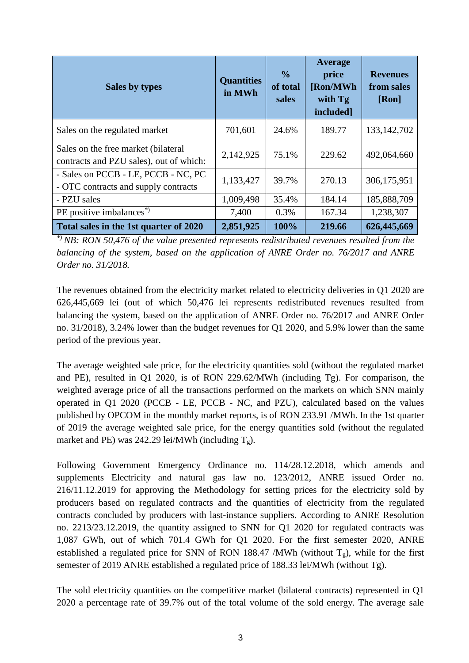| Sales by types                                                                 | <b>Quantities</b><br>in MWh | $\frac{0}{0}$<br>of total<br>sales | Average<br>price<br>[Ron/MWh<br>with Tg<br>included] | <b>Revenues</b><br>from sales<br>[Ron] |
|--------------------------------------------------------------------------------|-----------------------------|------------------------------------|------------------------------------------------------|----------------------------------------|
| Sales on the regulated market                                                  | 701,601                     | 24.6%                              | 189.77                                               | 133, 142, 702                          |
| Sales on the free market (bilateral<br>contracts and PZU sales), out of which: | 2,142,925                   | 75.1%                              | 229.62                                               | 492,064,660                            |
| - Sales on PCCB - LE, PCCB - NC, PC<br>- OTC contracts and supply contracts    | 1,133,427                   | 39.7%                              | 270.13                                               | 306,175,951                            |
| - PZU sales                                                                    | 1,009,498                   | 35.4%                              | 184.14                                               | 185,888,709                            |
| PE positive imbalances <sup>*</sup> )                                          | 7,400                       | 0.3%                               | 167.34                                               | 1,238,307                              |
| Total sales in the 1st quarter of 2020                                         | 2,851,925                   | 100%                               | 219.66                                               | 626,445,669                            |

*\*) NB: RON 50,476 of the value presented represents redistributed revenues resulted from the balancing of the system, based on the application of ANRE Order no. 76/2017 and ANRE Order no. 31/2018.*

The revenues obtained from the electricity market related to electricity deliveries in Q1 2020 are 626,445,669 lei (out of which 50,476 lei represents redistributed revenues resulted from balancing the system, based on the application of ANRE Order no. 76/2017 and ANRE Order no. 31/2018), 3.24% lower than the budget revenues for Q1 2020, and 5.9% lower than the same period of the previous year.

The average weighted sale price, for the electricity quantities sold (without the regulated market and PE), resulted in Q1 2020, is of RON 229.62/MWh (including Tg). For comparison, the weighted average price of all the transactions performed on the markets on which SNN mainly operated in Q1 2020 (PCCB - LE, PCCB - NC, and PZU), calculated based on the values published by OPCOM in the monthly market reports, is of RON 233.91 /MWh. In the 1st quarter of 2019 the average weighted sale price, for the energy quantities sold (without the regulated market and PE) was 242.29 lei/MWh (including  $T_g$ ).

Following Government Emergency Ordinance no. 114/28.12.2018, which amends and supplements Electricity and natural gas law no. 123/2012, ANRE issued Order no. 216/11.12.2019 for approving the Methodology for setting prices for the electricity sold by producers based on regulated contracts and the quantities of electricity from the regulated contracts concluded by producers with last-instance suppliers. According to ANRE Resolution no. 2213/23.12.2019, the quantity assigned to SNN for Q1 2020 for regulated contracts was 1,087 GWh, out of which 701.4 GWh for Q1 2020. For the first semester 2020, ANRE established a regulated price for SNN of RON 188.47 /MWh (without  $T_g$ ), while for the first semester of 2019 ANRE established a regulated price of 188.33 lei/MWh (without Tg).

The sold electricity quantities on the competitive market (bilateral contracts) represented in Q1 2020 a percentage rate of 39.7% out of the total volume of the sold energy. The average sale